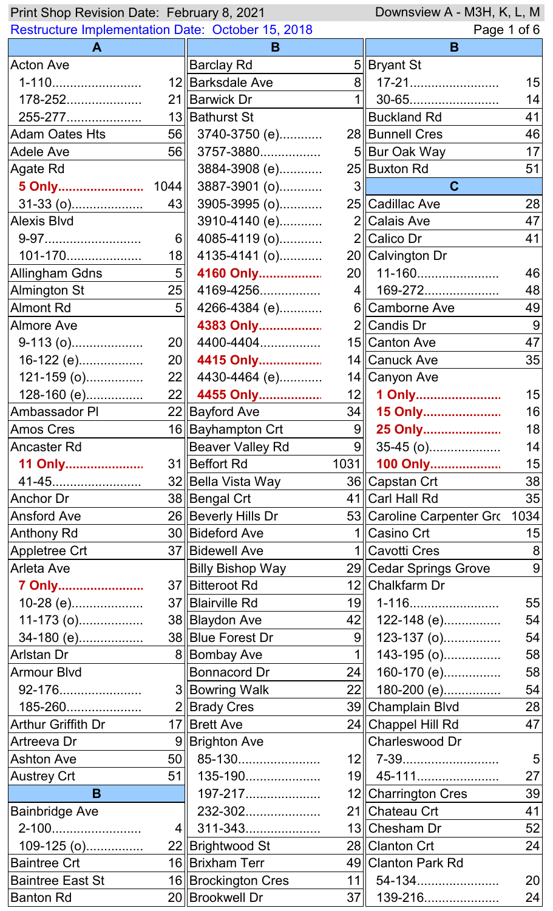| Print Shop Revision Date: February 8, 2021<br>Downsview A - M3H, K, L, M |                 |                         |                |                           |             |
|--------------------------------------------------------------------------|-----------------|-------------------------|----------------|---------------------------|-------------|
| <b>Restructure Implementation Date: October 15, 2018</b>                 |                 |                         |                |                           | Page 1 of 6 |
| A                                                                        |                 | B                       |                | B                         |             |
| <b>Acton Ave</b>                                                         |                 | <b>Barclay Rd</b>       |                | 5 Bryant St               |             |
| 1-110                                                                    |                 | 12 Barksdale Ave        |                | 8 17-21                   | 15          |
| 178-252                                                                  |                 | 21 Barwick Dr           | 1 II           | 30-65                     | 14          |
| 255-277                                                                  |                 | 13 Bathurst St          |                | $ $ Buckland Rd           | 41          |
| <b>Adam Oates Hts</b>                                                    |                 | 56 3740-3750 (e)        |                | 28 Bunnell Cres           | 46          |
| <b>Adele Ave</b>                                                         | 56              | 3757-3880               |                | 5 Bur Oak Way             | 17          |
| Agate Rd                                                                 |                 | 3884-3908 (e)           |                | 25 Buxton Rd              | 51          |
| 5 Only                                                                   | 1044            | 3887-3901 (o)           | $3\parallel$   | $\mathbf C$               |             |
| 31-33 (o)                                                                | 43              | 3905-3995 (o)           |                | 25 Cadillac Ave           | 28          |
| <b>Alexis Blvd</b>                                                       |                 | 3910-4140 (e)           |                | 2 Calais Ave              | 47          |
| 9-97                                                                     | 6               | 4085-4119 (o)           |                | $2$ Calico Dr             | 41          |
| 101-170                                                                  | 18              | 4135-4141 (o)           |                | 20 Calvington Dr          |             |
| Allingham Gdns                                                           | $5\parallel$    | 4160 Only               |                | 20   11-160               | 46          |
| <b>Almington St</b>                                                      | 25              | 4169-4256               |                | 4   169-272               | 48          |
| <b>Almont Rd</b>                                                         | 5 <sup>1</sup>  | 4266-4384 (e)           |                | 6 Camborne Ave            | 49          |
| <b>Almore Ave</b>                                                        |                 | 4383 Only               |                | 2 Candis Dr               | 9           |
| $9-113(0)$                                                               | 20              | 4400-4404               |                | 15 Canton Ave             | 47          |
| 16-122 (e)                                                               |                 | 20 4415 Only            |                | 14 Canuck Ave             | 35          |
| $121 - 159$ (o)                                                          |                 | 22 4430-4464 (e)        |                | 14 Canyon Ave             |             |
| 128-160 (e)                                                              | 22              | 4455 Only               |                | 12 1 Only                 | 15          |
| <b>Ambassador PI</b>                                                     |                 | 22 Bayford Ave          | 34             | 15 Only                   | 16          |
| <b>Amos Cres</b>                                                         |                 | 16 Bayhampton Crt       | 9              | 25 Only                   | 18          |
| Ancaster Rd                                                              |                 | <b>Beaver Valley Rd</b> | 9              | $35-45$ (o)               | 14          |
| 11 Only                                                                  |                 | 31 Beffort Rd           | 1031           | 100 Only                  | 15          |
| 41-45                                                                    |                 | 32 Bella Vista Way      |                | 36 Capstan Crt            | 38          |
| <b>Anchor Dr</b>                                                         |                 | 38 Bengal Crt           |                | 41 Carl Hall Rd           | 35          |
| <b>Ansford Ave</b>                                                       |                 | 26 Beverly Hills Dr     |                | 53∥Caroline Carpenter Gro | 1034        |
| Anthony Rd                                                               |                 | 30   Bideford Ave       |                | 1 Casino Crt              | 15          |
| <b>Appletree Crt</b>                                                     |                 | 37   Bidewell Ave       |                | 1 Cavotti Cres            | 8           |
| <b>Arleta Ave</b>                                                        |                 | <b>Billy Bishop Way</b> |                | 29 Cedar Springs Grove    | 9           |
| 7 Only                                                                   |                 | 37   Bitteroot Rd       |                | 12 Chalkfarm Dr           |             |
| 10-28 (e)                                                                |                 | 37   Blairville Rd      | 19             | 1-116                     | 55          |
| 11-173 (o)                                                               |                 | 38 Blaydon Ave          | 42             | 122-148 (e)               | 54          |
| 34-180 (e)                                                               |                 | 38 Blue Forest Dr       | 9              | 123-137 (o)               | 54          |
| Arlstan Dr                                                               |                 | 8 Bombay Ave            | 1 <sup>1</sup> | 143-195 (o)               | 58          |
| <b>Armour Blvd</b>                                                       |                 | <b>Bonnacord Dr</b>     | 24             | 160-170 (e)               | 58          |
| 92-176                                                                   |                 | 3  Bowring Walk         | 22             | 180-200 (e)               | 54          |
| 185-260                                                                  |                 | 2 Brady Cres            |                | 39 Champlain Blvd         | 28          |
| <b>Arthur Griffith Dr</b>                                                |                 | 17 Brett Ave            |                | 24 Chappel Hill Rd        | 47          |
| Artreeva Dr                                                              |                 | 9 Brighton Ave          |                | Charleswood Dr            |             |
| <b>Ashton Ave</b>                                                        |                 | $50$   85-130           |                | $12$   $7 - 39$           | 5           |
| <b>Austrey Crt</b>                                                       | 51              | 135-190                 |                | 19   45-111               | 27          |
| B                                                                        |                 | 197-217                 |                | 12 Charrington Cres       | 39          |
| <b>Bainbridge Ave</b>                                                    |                 | 232-302                 |                | 21∥Chateau Crt            | 41          |
| 2-100                                                                    | 4 <sub>  </sub> | 311-343                 |                | 13 Chesham Dr             | 52          |
| 109-125 (o)                                                              |                 | 22 Brightwood St        |                | 28 Clanton Crt            | 24          |
| <b>Baintree Crt</b>                                                      |                 | 16 Brixham Terr         |                | 49 Clanton Park Rd        |             |
| <b>Baintree East St</b>                                                  |                 | 16 Brockington Cres     | 11             | 54-134                    | 20          |
| <b>Banton Rd</b>                                                         |                 | 20 Brookwell Dr         | 37             | 139-216                   | 24          |
|                                                                          |                 |                         |                |                           |             |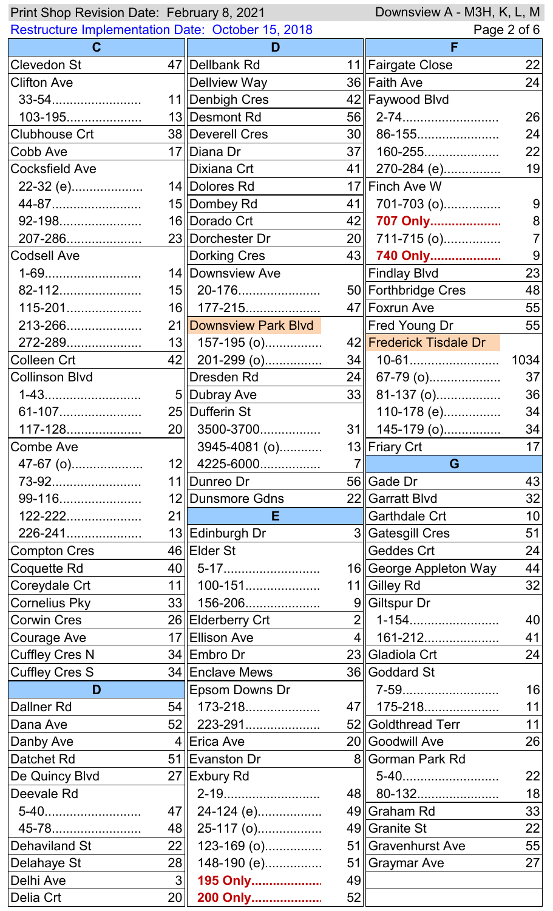| Downsview A - M3H, K, L, M<br>Print Shop Revision Date: February 8, 2021 |         |                        |                |                         |      |
|--------------------------------------------------------------------------|---------|------------------------|----------------|-------------------------|------|
| <b>Restructure Implementation Date: October 15, 2018</b>                 |         |                        | Page 2 of 6    |                         |      |
| $\mathbf C$                                                              |         | D                      |                | F                       |      |
| <b>Clevedon St</b>                                                       |         | 47 Dellbank Rd         |                | 11 Fairgate Close       | 22   |
| <b>Clifton Ave</b>                                                       |         | <b>Dellview Way</b>    |                | 36 Faith Ave            | 24   |
| 33-54                                                                    |         | 11 Denbigh Cres        |                | 42 Faywood Blvd         |      |
| 103-195                                                                  |         | 13 Desmont Rd          |                |                         | 26   |
| Clubhouse Crt                                                            |         | 38 Deverell Cres       |                | 30 86-155               | 24   |
| Cobb Ave                                                                 |         | 17 Diana Dr            |                | 37 160-255              | 22   |
| <b>Cocksfield Ave</b>                                                    |         | Dixiana Crt            |                | 41  270-284 (e)         | 19   |
| 22-32 (e)                                                                |         | 14 Dolores Rd          |                | 17 Finch Ave W          |      |
| 44-87                                                                    |         | 15 Dombey Rd           | 41             | 701-703 (o)             | 9    |
| 92-198                                                                   |         | 16 Dorado Crt          |                | 42 707 Only             | 8    |
| 207-286                                                                  |         | 23 Dorchester Dr       |                | $20$   711-715 (o)      |      |
| <b>Codsell Ave</b>                                                       |         | <b>Dorking Cres</b>    |                | 43 740 Only             | 9    |
| 1-69                                                                     |         | 14 Downsview Ave       |                | Findlay Blvd            | 23   |
| 82-112                                                                   |         | $15$   20-176          |                | 50 Forthbridge Cres     | 48   |
| 115-201                                                                  |         | 16   177-215           |                | 47 Foxrun Ave           | 55   |
| 213-266                                                                  |         | 21 Downsview Park Blvd |                | Fred Young Dr           | 55   |
| 272-289                                                                  | 13      | 157-195 (o)            |                | 42 Frederick Tisdale Dr |      |
| Colleen Crt                                                              |         | 42 201-299 (o)         |                |                         | 1034 |
| <b>Collinson Blvd</b>                                                    |         | Dresden Rd             |                | $24$ 67-79 (o)          | 37   |
| 1-43                                                                     |         | 5 Dubray Ave           |                | $33$ 81-137 (o)         | 36   |
| 61-107                                                                   |         | 25 Dufferin St         |                | 110-178 (e)             | 34   |
| 117-128                                                                  |         | 20 3500-3700           |                | 31  145-179 (o)         | 34   |
| Combe Ave                                                                |         | 3945-4081 (o)          |                | 13∥Friary Crt           | 17   |
|                                                                          |         |                        |                |                         |      |
|                                                                          |         |                        | $\overline{7}$ |                         |      |
| 47-67 (o)                                                                |         | $12$   4225-6000       |                | G                       |      |
| 73-92                                                                    |         | 11∥Dunreo Dr           |                | 56 Gade Dr              | 43   |
| 99-116                                                                   |         | 12 Dunsmore Gdns<br>Е. |                | 22 Garratt Blvd         | 32   |
| $122 - 222$                                                              | 21      |                        |                | <b>Garthdale Crt</b>    | 10   |
| 226-241                                                                  |         | 13 Edinburgh Dr        |                | 3 Gatesgill Cres        | 51   |
| <b>Compton Cres</b>                                                      |         | 46 Elder St            |                | <b>Geddes Crt</b>       | 24   |
| Coquette Rd                                                              |         | $40$   5-17            |                | 16 George Appleton Way  | 44   |
| Coreydale Crt                                                            | 11      | 100-151                |                | 11 Gilley Rd            | 32   |
| <b>Cornelius Pky</b>                                                     |         | $33$    156-206        |                | 9 Giltspur Dr           |      |
| <b>Corwin Cres</b>                                                       |         | 26 Elderberry Crt      |                | $2$   1-154             | 40   |
| <b>Courage Ave</b>                                                       |         | 17 Ellison Ave         |                | 4   161-212             | 41   |
| <b>Cuffley Cres N</b>                                                    |         | 34 Embro Dr            |                | 23∥Gladiola Crt         | 24   |
| <b>Cuffley Cres S</b>                                                    |         | 34 Enclave Mews        |                | 36 Goddard St           |      |
| D                                                                        |         | Epsom Downs Dr         |                | 7-59                    | 16   |
| <b>Dallner Rd</b>                                                        |         | $54$   173-218         |                | 47  175-218             | 11   |
| Dana Ave                                                                 |         | $52$   223-291         |                | 52 Goldthread Terr      | 11   |
| Danby Ave                                                                |         | 4∥Erica Ave            |                | 20 Goodwill Ave         | 26   |
| <b>Datchet Rd</b>                                                        |         | 51 Evanston Dr         |                | 8 Gorman Park Rd        |      |
| De Quincy Blvd                                                           |         | 27 Exbury Rd           |                | 5-40                    | 22   |
| Deevale Rd                                                               |         | 2-19                   |                | 48 80-132               | 18   |
| 5-40                                                                     |         | 47 24-124 (e)          |                | 49 Graham Rd            | 33   |
| 45-78                                                                    | 48      | 25-117 (o)             |                | 49 Granite St           | 22   |
| <b>Dehaviland St</b>                                                     | 22      | 123-169 (o)            |                | 51 Gravenhurst Ave      | 55   |
| Delahaye St                                                              | 28      | 148-190 (e)            |                | 51 Graymar Ave          | 27   |
| Delhi Ave<br>Delia Crt                                                   | 3<br>20 | 195 Only<br>200 Only   | 49<br>52       |                         |      |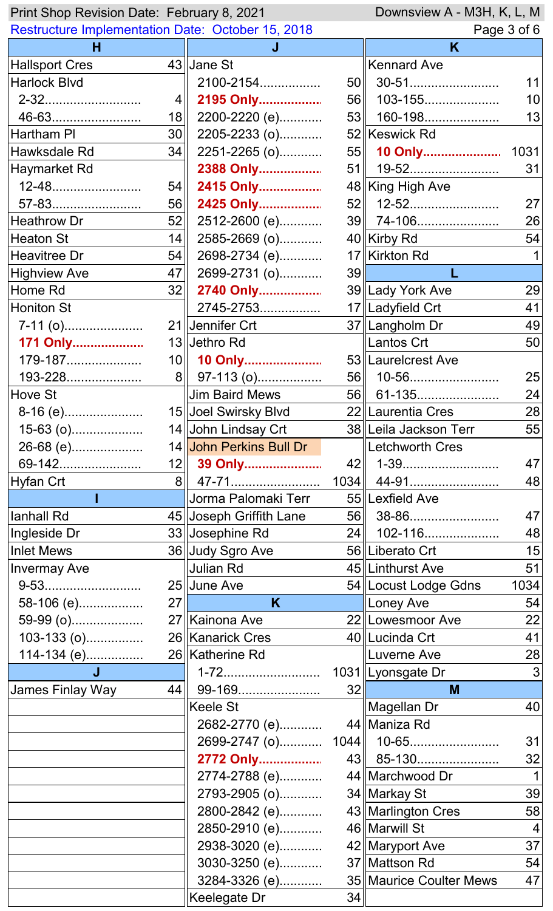| Downsview A - M3H, K, L, M<br>Print Shop Revision Date: February 8, 2021 |                  |                                |    |                         |                 |
|--------------------------------------------------------------------------|------------------|--------------------------------|----|-------------------------|-----------------|
| <b>Restructure Implementation Date: October 15, 2018</b>                 |                  |                                |    | Page 3 of 6             |                 |
| н                                                                        |                  |                                |    | K                       |                 |
| <b>Hallsport Cres</b>                                                    |                  | 43 Jane St                     |    | <b>Kennard Ave</b>      |                 |
| <b>Harlock Blvd</b>                                                      |                  | 2100-2154                      |    |                         | 11              |
| 2-32                                                                     | $\vert 4 \vert$  | 2195 Only                      |    | 56   103-155            | 10 <sup>1</sup> |
| 46-63                                                                    | 18 <sub>l</sub>  | 2200-2220 (e)                  |    | $53$   160-198          | 13              |
| Hartham PI                                                               | 30               | 2205-2233 (o)                  |    | 52 Keswick Rd           |                 |
| Hawksdale Rd                                                             | 34               | 2251-2265 (o)                  |    | 55 10 Only              | 1031            |
| Haymarket Rd                                                             |                  | 2388 Only                      |    | 51    19-52             | 31              |
| 12-48                                                                    | 54               | 2415 Only                      |    | 48 King High Ave        |                 |
| 57-83                                                                    | 56               | 2425 Only                      |    | $52$   12-52            | 27              |
| <b>Heathrow Dr</b>                                                       | 52               | 2512-2600 (e)                  |    | 39   74-106             | 26              |
| <b>Heaton St</b>                                                         | 14               | 2585-2669 (o)                  |    | 40 Kirby Rd             | 54              |
| <b>Heavitree Dr</b>                                                      | 54               | 2698-2734 (e)                  |    | 17 Kirkton Rd           |                 |
| <b>Highview Ave</b>                                                      | 47               | 2699-2731 (o)                  | 39 |                         |                 |
| Home Rd                                                                  | 32               | 2740 Only                      |    | 39 Lady York Ave        | 29              |
| <b>Honiton St</b>                                                        |                  | 2745-2753                      |    | 17   Ladyfield Crt      | 41              |
| $7-11$ (o)                                                               |                  | 21 Jennifer Crt                |    | 37   Langholm Dr        | 49              |
| 171 Only                                                                 |                  | 13 Jethro Rd                   |    | Lantos Crt              | 50              |
| 179-187                                                                  |                  | 10    10 Only                  |    | 53 Laurelcrest Ave      |                 |
| 193-228                                                                  | $8\parallel$     | 97-113 (o)                     |    | 56   10-56              | 25              |
| Hove St                                                                  |                  | <b>Jim Baird Mews</b>          |    | 56 61-135               | 24              |
| 8-16 (e)                                                                 |                  | 15 Joel Swirsky Bl∨d           |    | 22 Laurentia Cres       | $\overline{28}$ |
| 15-63 (o)                                                                |                  | 14 John Lindsay Crt            |    | 38 Leila Jackson Terr   | 55              |
| 26-68 (e)                                                                |                  | 14 John Perkins Bull Dr        |    | Letchworth Cres         |                 |
| 69-142                                                                   |                  |                                |    |                         | 47              |
|                                                                          |                  | 12 39 Only                     |    | 42   1-39               |                 |
| Hyfan Crt                                                                |                  | 8 47-71<br>Jorma Palomaki Terr |    | 55   Lexfield Ave       | 48              |
| lanhall Rd                                                               |                  |                                |    |                         |                 |
|                                                                          |                  | 45 Joseph Griffith Lane        |    | 56 38-86                | 47              |
| Ingleside Dr                                                             |                  | 33 Josephine Rd                |    | 24   102-116            | 48              |
| <b>Inlet Mews</b>                                                        |                  | 36 Judy Sgro Ave               |    | 56 Liberato Crt         | 15              |
| <b>Invermay Ave</b>                                                      |                  | ∥Julian Rd                     |    | 45  Linthurst Ave       | 51              |
| 9-53                                                                     |                  | 25 June Ave                    |    | 54 Locust Lodge Gdns    | 1034            |
| 58-106 (e)                                                               | 27 <sup>  </sup> | K.                             |    | Loney Ave               | 54              |
| 59-99 (o)                                                                |                  | 27 Kainona Ave                 |    | 22 Lowesmoor Ave        | 22              |
| 103-133 (o)                                                              |                  | 26 Kanarick Cres               |    | 40 Lucinda Crt          | 41              |
| 114-134 (e)                                                              |                  | 26 Katherine Rd                |    | Luverne Ave             | 28              |
| J                                                                        |                  | 1-72                           |    | 1031   Lyonsgate Dr     | 3 <sup>1</sup>  |
| James Finlay Way                                                         | 44               |                                | 32 | M                       |                 |
|                                                                          |                  | <b>Keele St</b>                |    | Magellan Dr             | 40              |
|                                                                          |                  | 2682-2770 (e)                  |    | 44   Maniza Rd          |                 |
|                                                                          |                  | 2699-2747 (o)                  |    |                         | 31              |
|                                                                          |                  | 2772 Only                      |    | 43   85-130             | 32              |
|                                                                          |                  | 2774-2788 (e)                  |    | 44 Marchwood Dr         |                 |
|                                                                          |                  | 2793-2905 (o)                  |    | 34 Markay St            | 39              |
|                                                                          |                  | 2800-2842 (e)                  |    | 43   Marlington Cres    | 58              |
|                                                                          |                  | 2850-2910 (e)                  |    | 46   Marwill St         | $\vert 4 \vert$ |
|                                                                          |                  | 2938-3020 (e)                  |    | 42   Maryport Ave       | 37              |
|                                                                          |                  | 3030-3250 (e)                  |    | 37 Mattson Rd           | 54              |
|                                                                          |                  | 3284-3326 (e)                  |    | 35 Maurice Coulter Mews | 47              |
|                                                                          |                  | Keelegate Dr                   | 34 |                         |                 |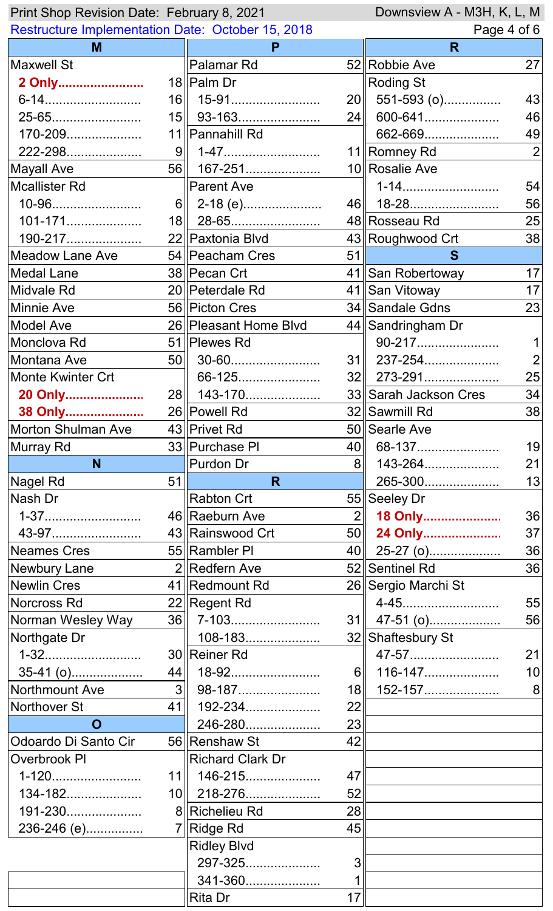| Downsview A - M3H, K, L, M<br>Print Shop Revision Date: February 8, 2021 |              |                         |                 |                       |                |
|--------------------------------------------------------------------------|--------------|-------------------------|-----------------|-----------------------|----------------|
| <b>Restructure Implementation Date: October 15, 2018</b>                 |              |                         |                 | Page 4 of 6           |                |
| M                                                                        |              | P                       |                 | R                     |                |
| <b>Maxwell St</b>                                                        |              | Palamar Rd              |                 | 52 Robbie Ave         | 27             |
| 2 Only                                                                   |              | 18   Palm Dr            |                 | <b>Roding St</b>      |                |
| 6-14                                                                     |              | 16    15-91             |                 | 20 551-593 (o)        | 43             |
| 25-65                                                                    |              | $15$   93-163           | 24              | 600-641               | 46             |
| 170-209                                                                  |              | 11 Pannahill Rd         |                 | 662-669               | 49             |
| 222-298                                                                  | 9            | 1-47                    |                 | 11  Romney Rd         | $\overline{2}$ |
| <b>Mayall Ave</b>                                                        | 56           | 167-251                 |                 | 10 Rosalie Ave        |                |
| <b>Mcallister Rd</b>                                                     |              | <b>Parent Ave</b>       |                 | 1-14                  | 54             |
| 10-96                                                                    |              | $6$   2-18 (e)          |                 | 46   18-28            | 56             |
| 101-171                                                                  |              | $18$   28-65            |                 | 48  Rosseau Rd        | 25             |
| 190-217                                                                  |              | 22 Paxtonia Blvd        |                 | 43 Roughwood Crt      | 38             |
| Meadow Lane Ave                                                          |              | 54   Peacham Cres       | 51              | S                     |                |
| <b>Medal Lane</b>                                                        |              | 38 Pecan Crt            |                 | 41 San Robertoway     | 17             |
| Midvale Rd                                                               |              | 20   Peterdale Rd       |                 | 41 San Vitoway        | 17             |
| <b>Minnie Ave</b>                                                        |              | 56 Picton Cres          |                 | 34 Sandale Gdns       | 23             |
| <b>Model Ave</b>                                                         |              | 26 Pleasant Home Blvd   |                 | 44 Sandringham Dr     |                |
| Monclova Rd                                                              |              | 51   Plewes Rd          |                 | 90-217                |                |
| Montana Ave                                                              |              |                         |                 | $31$    237-254       |                |
| <b>Monte Kwinter Crt</b>                                                 |              | 66-125                  |                 | 32   273-291          | 25             |
| 20 Only                                                                  | 28           |                         |                 | 33 Sarah Jackson Cres | 34             |
| 38 Only                                                                  |              | 26 Powell Rd            |                 | 32∥Sawmill Rd         | 38             |
| <b>Morton Shulman Ave</b>                                                |              | 43 Privet Rd            |                 | 50 Searle Ave         |                |
| Murray Rd                                                                |              | 33 Purchase PI          |                 | 40 68-137             | 19             |
| N                                                                        |              | <b>Purdon Dr</b>        | 8 <sup>  </sup> | 143-264               | 21             |
| Nagel Rd                                                                 | 51           | R.                      |                 | 265-300               | 13             |
| Nash Dr                                                                  |              | <b>Rabton Crt</b>       |                 | 55 Seeley Dr          |                |
| 1-37                                                                     |              | 46 Raeburn Ave          |                 | 2 18 Only             | 36             |
| 43-97                                                                    |              | 43 Rainswood Crt        |                 | 50 24 Only            | 37             |
| <b>Neames Cres</b>                                                       |              | 55 Rambler PI           |                 | 40 25-27 (o)          | 36             |
| Newbury Lane                                                             |              | $2$ Redfern Ave         |                 | 52 Sentinel Rd        | 36             |
| <b>Newlin Cres</b>                                                       |              | 41   Redmount Rd        |                 | 26 Sergio Marchi St   |                |
| Norcross Rd                                                              |              | 22 Regent Rd            |                 | 4-45                  | 55             |
| Norman Wesley Way                                                        |              | $36$ 7-103              |                 | $31$   47-51 (o)      | 56             |
| Northgate Dr                                                             |              | 108-183                 |                 | 32 Shaftesbury St     |                |
| 1-32                                                                     |              | 30 Reiner Rd            |                 | 47-57                 | 21             |
| 35-41 (o)                                                                | 44           | 18-92                   | $6\parallel$    | 116-147               | 10             |
| Northmount Ave                                                           | $3\parallel$ | 98-187                  | 18 <sub>l</sub> | 152-157               | 8              |
| Northover St                                                             | 41           | 192-234                 | 22              |                       |                |
| $\mathbf O$                                                              |              | 246-280                 | 23              |                       |                |
| Odoardo Di Santo Cir                                                     |              | 56 Renshaw St           | 42              |                       |                |
| Overbrook PI                                                             |              | <b>Richard Clark Dr</b> |                 |                       |                |
| 1-120                                                                    |              | $11$   146-215          | 47              |                       |                |
| 134-182                                                                  |              | $10$   218-276          | 52              |                       |                |
| 191-230                                                                  |              | 8 Richelieu Rd          | 28              |                       |                |
| 236-246 (e)                                                              |              | 7 Ridge Rd              | 45              |                       |                |
|                                                                          |              | <b>Ridley Blvd</b>      |                 |                       |                |
|                                                                          |              | 297-325                 | 3               |                       |                |
|                                                                          |              | 341-360                 | 1               |                       |                |
|                                                                          |              | <b>Rita Dr</b>          | 17              |                       |                |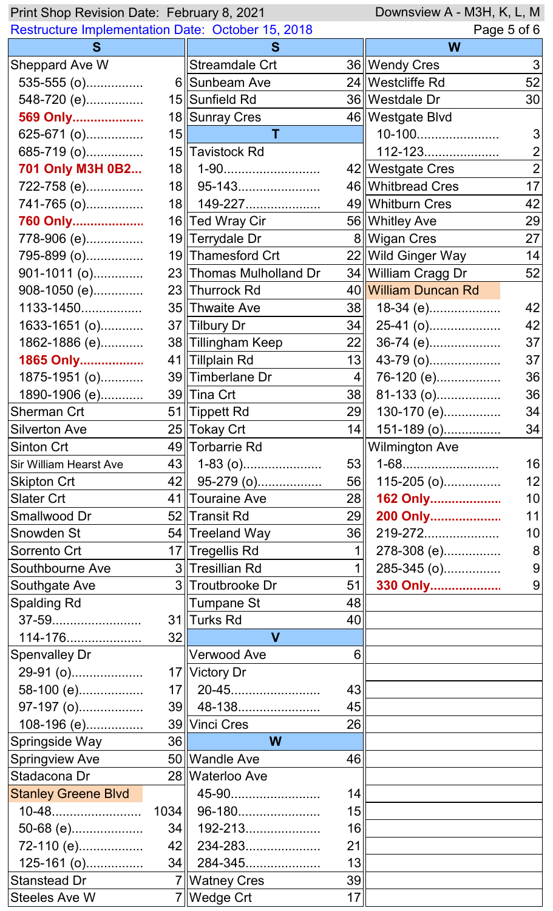| Downsview A - M3H, K, L, M<br>Print Shop Revision Date: February 8, 2021 |    |                         |                 |                       |                 |
|--------------------------------------------------------------------------|----|-------------------------|-----------------|-----------------------|-----------------|
| <b>Restructure Implementation Date: October 15, 2018</b>                 |    |                         | Page 5 of 6     |                       |                 |
| S                                                                        |    | S                       |                 | W                     |                 |
| Sheppard Ave W                                                           |    | Streamdale Crt          |                 | 36   Wendy Cres       | 3               |
| $535-555$ (o)                                                            |    | 6 Sunbeam Ave           |                 | 24   Westcliffe Rd    | 52              |
| 548-720 (e)                                                              |    | 15 Sunfield Rd          |                 | 36   Westdale Dr      | 30 <sup>°</sup> |
| 569 Only                                                                 |    | 18 Sunray Cres          |                 | 46   Westgate Blvd    |                 |
| 625-671 (o)                                                              | 15 | т                       |                 | 10-100                | 3               |
| 685-719 (o)                                                              |    | 15 Tavistock Rd         |                 | 112-123               | $\overline{2}$  |
| 701 Only M3H 0B2                                                         | 18 | 1-90                    |                 | 42   Westgate Cres    | $\overline{2}$  |
| 722-758 (e)                                                              |    | 18    95-143            |                 | 46 Whitbread Cres     | 17              |
| 741-765 (o)                                                              |    | 18    149-227           |                 | 49 Whitburn Cres      | 42              |
| 760 Only                                                                 |    | 16 Ted Wray Cir         |                 | 56 Whitley Ave        | 29              |
| 778-906 (e)                                                              |    | 19 Terrydale Dr         |                 | 8 Wigan Cres          | 27              |
| 795-899 (o)                                                              |    | 19  Thamesford Crt      |                 | 22 Wild Ginger Way    | 14              |
| 901-1011 (o)                                                             |    | 23 Thomas Mulholland Dr |                 | 34   William Cragg Dr | 52              |
| 908-1050 (e)                                                             |    | 23 Thurrock Rd          |                 | 40 William Duncan Rd  |                 |
| 1133-1450                                                                |    | 35 Thwaite Ave          | 38              | $18-34$ (e)           | 42              |
| 1633-1651 (o)                                                            |    | 37 Tilbury Dr           | 34              | 25-41 (o)             | 42              |
| 1862-1886 (e)                                                            |    | 38 Tillingham Keep      | 22              | 36-74 (e)             | 37              |
| 1865 Only                                                                |    | 41 Tillplain Rd         | 13              | 43-79 (o)             | 37              |
| 1875-1951 (o)                                                            |    | 39 Timberlane Dr        | $4\parallel$    | 76-120 (e)            | 36              |
| 1890-1906 (e)                                                            |    | 39 Tina Crt             | 38              | 81-133 (o)            | 36              |
| Sherman Crt                                                              |    | 51 Tippett Rd           | 29              | 130-170 (e)           | 34              |
| <b>Silverton Ave</b>                                                     |    | 25  Tokay Crt           | 14 II           | 151-189 (o)           | 34              |
| Sinton Crt                                                               |    | 49 Torbarrie Rd         |                 | <b>Wilmington Ave</b> |                 |
| <b>Sir William Hearst Ave</b>                                            | 43 | $1-83$ (o)              | 53              |                       | 16              |
| <b>Skipton Crt</b>                                                       | 42 | 95-279 (o) <u></u>      | 56              | 115-205 (o)           | 12              |
| <b>Slater Crt</b>                                                        |    | 41 Touraine Ave         | 28              | 162 Only              | 10 <sup>1</sup> |
| Smallwood Dr                                                             |    | 52 Transit Rd           | 29              | 200 Only              | 11              |
| Snowden St                                                               |    | 54 Treeland Way         | 36              | 219-272               | 10              |
| Sorrento Crt                                                             |    | 17 Tregellis Rd         | 1 <sup>  </sup> | 278-308 (e)           | 8               |
| Southbourne Ave                                                          |    | 3  Tresillian Rd        | 1 <sup>1</sup>  | 285-345 (o)           | 9               |
| Southgate Ave                                                            |    | 3 Troutbrooke Dr        | 51              | 330 Only              | 9               |
| <b>Spalding Rd</b>                                                       |    | Tumpane St              | 48              |                       |                 |
| 37-59                                                                    |    | 31 Turks Rd             | 40              |                       |                 |
| 114-176                                                                  | 32 | $\mathbf V$             |                 |                       |                 |
| <b>Spenvalley Dr</b>                                                     |    | Verwood Ave             | 6               |                       |                 |
| 29-91 (o)                                                                |    | 17 Victory Dr           |                 |                       |                 |
| 58-100 (e)                                                               |    | 17   20-45              | 43              |                       |                 |
| 97-197 (o)                                                               |    | $39$ 48-138             | 45              |                       |                 |
| 108-196 (e)                                                              |    | 39 Vinci Cres           | 26              |                       |                 |
| Springside Way                                                           | 36 | W                       |                 |                       |                 |
| <b>Springview Ave</b>                                                    |    | 50 Wandle Ave           | 46              |                       |                 |
| Stadacona Dr                                                             |    | 28   Waterloo Ave       |                 |                       |                 |
| <b>Stanley Greene Blvd</b>                                               |    | 45-90                   | 14              |                       |                 |
| 10-48                                                                    |    | 1034    96-180          | 15              |                       |                 |
| 50-68 (e)                                                                | 34 | 192-213                 | 16              |                       |                 |
| 72-110 (e)                                                               | 42 | 234-283                 | 21              |                       |                 |
| 125-161 (o)                                                              | 34 | 284-345                 | 13              |                       |                 |
| <b>Stanstead Dr</b>                                                      |    | 7   Watney Cres         | 39              |                       |                 |
| <b>Steeles Ave W</b>                                                     |    | 7   Wedge Crt           | 17              |                       |                 |